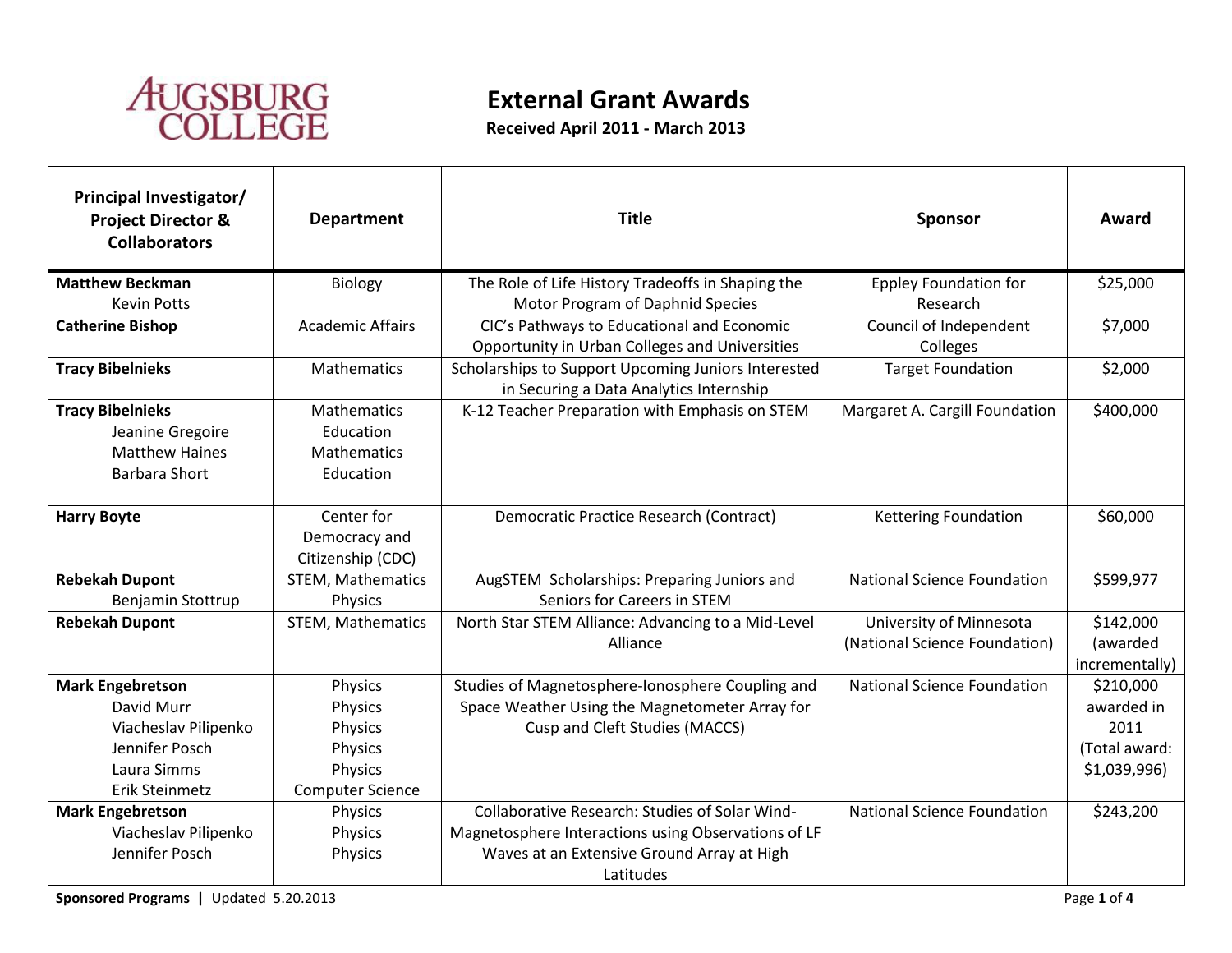

## **External Grant Awards**

**Received April 2011 - March 2013**

| <b>Principal Investigator/</b><br><b>Project Director &amp;</b><br><b>Collaborators</b>      | <b>Department</b>                                           | <b>Title</b>                                                                                   | Sponsor                                                  | Award                                   |
|----------------------------------------------------------------------------------------------|-------------------------------------------------------------|------------------------------------------------------------------------------------------------|----------------------------------------------------------|-----------------------------------------|
| <b>Matthew Beckman</b>                                                                       | Biology                                                     | The Role of Life History Tradeoffs in Shaping the                                              | <b>Eppley Foundation for</b>                             | \$25,000                                |
| <b>Kevin Potts</b>                                                                           |                                                             | Motor Program of Daphnid Species                                                               | Research                                                 |                                         |
| <b>Catherine Bishop</b>                                                                      | <b>Academic Affairs</b>                                     | CIC's Pathways to Educational and Economic<br>Opportunity in Urban Colleges and Universities   | Council of Independent<br>Colleges                       | \$7,000                                 |
| <b>Tracy Bibelnieks</b>                                                                      | Mathematics                                                 | Scholarships to Support Upcoming Juniors Interested<br>in Securing a Data Analytics Internship | <b>Target Foundation</b>                                 | \$2,000                                 |
| <b>Tracy Bibelnieks</b><br>Jeanine Gregoire<br><b>Matthew Haines</b><br><b>Barbara Short</b> | Mathematics<br>Education<br><b>Mathematics</b><br>Education | K-12 Teacher Preparation with Emphasis on STEM                                                 | Margaret A. Cargill Foundation                           | \$400,000                               |
| <b>Harry Boyte</b>                                                                           | Center for<br>Democracy and<br>Citizenship (CDC)            | Democratic Practice Research (Contract)                                                        | <b>Kettering Foundation</b>                              | \$60,000                                |
| <b>Rebekah Dupont</b><br>Benjamin Stottrup                                                   | STEM, Mathematics<br>Physics                                | AugSTEM Scholarships: Preparing Juniors and<br>Seniors for Careers in STEM                     | <b>National Science Foundation</b>                       | \$599,977                               |
| <b>Rebekah Dupont</b>                                                                        | STEM, Mathematics                                           | North Star STEM Alliance: Advancing to a Mid-Level<br>Alliance                                 | University of Minnesota<br>(National Science Foundation) | \$142,000<br>(awarded<br>incrementally) |
| <b>Mark Engebretson</b>                                                                      | Physics                                                     | Studies of Magnetosphere-Ionosphere Coupling and                                               | <b>National Science Foundation</b>                       | \$210,000                               |
| David Murr                                                                                   | Physics                                                     | Space Weather Using the Magnetometer Array for                                                 |                                                          | awarded in                              |
| Viacheslav Pilipenko                                                                         | Physics                                                     | Cusp and Cleft Studies (MACCS)                                                                 |                                                          | 2011                                    |
| Jennifer Posch                                                                               | Physics                                                     |                                                                                                |                                                          | (Total award:                           |
| Laura Simms                                                                                  | Physics                                                     |                                                                                                |                                                          | \$1,039,996)                            |
| Erik Steinmetz                                                                               | <b>Computer Science</b>                                     |                                                                                                |                                                          |                                         |
| <b>Mark Engebretson</b>                                                                      | Physics                                                     | Collaborative Research: Studies of Solar Wind-                                                 | <b>National Science Foundation</b>                       | \$243,200                               |
| Viacheslav Pilipenko                                                                         | Physics                                                     | Magnetosphere Interactions using Observations of LF                                            |                                                          |                                         |
| Jennifer Posch                                                                               | Physics                                                     | Waves at an Extensive Ground Array at High                                                     |                                                          |                                         |
|                                                                                              |                                                             | Latitudes                                                                                      |                                                          |                                         |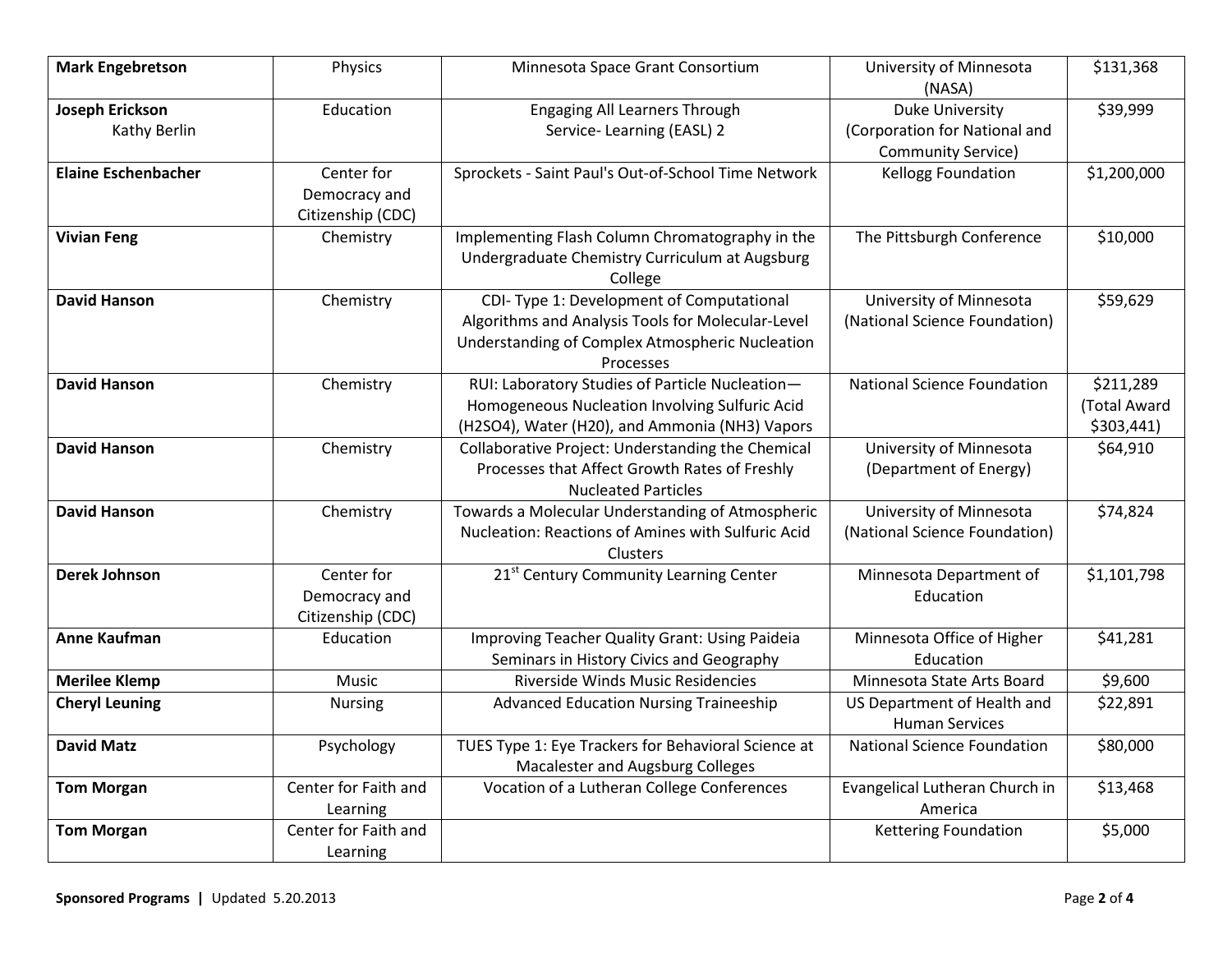| <b>Mark Engebretson</b>    | Physics              | Minnesota Space Grant Consortium                    | University of Minnesota<br>(NASA)  | \$131,368    |
|----------------------------|----------------------|-----------------------------------------------------|------------------------------------|--------------|
| <b>Joseph Erickson</b>     | Education            | <b>Engaging All Learners Through</b>                | <b>Duke University</b>             | \$39,999     |
| Kathy Berlin               |                      | Service-Learning (EASL) 2                           | (Corporation for National and      |              |
|                            |                      |                                                     | <b>Community Service)</b>          |              |
| <b>Elaine Eschenbacher</b> | Center for           | Sprockets - Saint Paul's Out-of-School Time Network | Kellogg Foundation                 | \$1,200,000  |
|                            | Democracy and        |                                                     |                                    |              |
|                            | Citizenship (CDC)    |                                                     |                                    |              |
| <b>Vivian Feng</b>         | Chemistry            | Implementing Flash Column Chromatography in the     | The Pittsburgh Conference          | \$10,000     |
|                            |                      | Undergraduate Chemistry Curriculum at Augsburg      |                                    |              |
|                            |                      | College                                             |                                    |              |
| <b>David Hanson</b>        | Chemistry            | CDI-Type 1: Development of Computational            | University of Minnesota            | \$59,629     |
|                            |                      | Algorithms and Analysis Tools for Molecular-Level   | (National Science Foundation)      |              |
|                            |                      | Understanding of Complex Atmospheric Nucleation     |                                    |              |
|                            |                      | Processes                                           |                                    |              |
| <b>David Hanson</b>        | Chemistry            | RUI: Laboratory Studies of Particle Nucleation-     | <b>National Science Foundation</b> | \$211,289    |
|                            |                      | Homogeneous Nucleation Involving Sulfuric Acid      |                                    | (Total Award |
|                            |                      | (H2SO4), Water (H20), and Ammonia (NH3) Vapors      |                                    | \$303,441)   |
| <b>David Hanson</b>        | Chemistry            | Collaborative Project: Understanding the Chemical   | University of Minnesota            | \$64,910     |
|                            |                      | Processes that Affect Growth Rates of Freshly       | (Department of Energy)             |              |
|                            |                      | <b>Nucleated Particles</b>                          |                                    |              |
| <b>David Hanson</b>        | Chemistry            | Towards a Molecular Understanding of Atmospheric    | University of Minnesota            | \$74,824     |
|                            |                      | Nucleation: Reactions of Amines with Sulfuric Acid  | (National Science Foundation)      |              |
|                            |                      | Clusters                                            |                                    |              |
| <b>Derek Johnson</b>       | Center for           | 21st Century Community Learning Center              | Minnesota Department of            | \$1,101,798  |
|                            | Democracy and        |                                                     | Education                          |              |
|                            | Citizenship (CDC)    |                                                     |                                    |              |
| <b>Anne Kaufman</b>        | Education            | Improving Teacher Quality Grant: Using Paideia      | Minnesota Office of Higher         | \$41,281     |
|                            |                      | Seminars in History Civics and Geography            | Education                          |              |
| <b>Merilee Klemp</b>       | Music                | Riverside Winds Music Residencies                   | Minnesota State Arts Board         | \$9,600      |
| <b>Cheryl Leuning</b>      | Nursing              | <b>Advanced Education Nursing Traineeship</b>       | US Department of Health and        | \$22,891     |
|                            |                      |                                                     | <b>Human Services</b>              |              |
| <b>David Matz</b>          | Psychology           | TUES Type 1: Eye Trackers for Behavioral Science at | National Science Foundation        | \$80,000     |
|                            |                      | Macalester and Augsburg Colleges                    |                                    |              |
| <b>Tom Morgan</b>          | Center for Faith and | Vocation of a Lutheran College Conferences          | Evangelical Lutheran Church in     | \$13,468     |
|                            | Learning             |                                                     | America                            |              |
| <b>Tom Morgan</b>          | Center for Faith and |                                                     | <b>Kettering Foundation</b>        | \$5,000      |
|                            | Learning             |                                                     |                                    |              |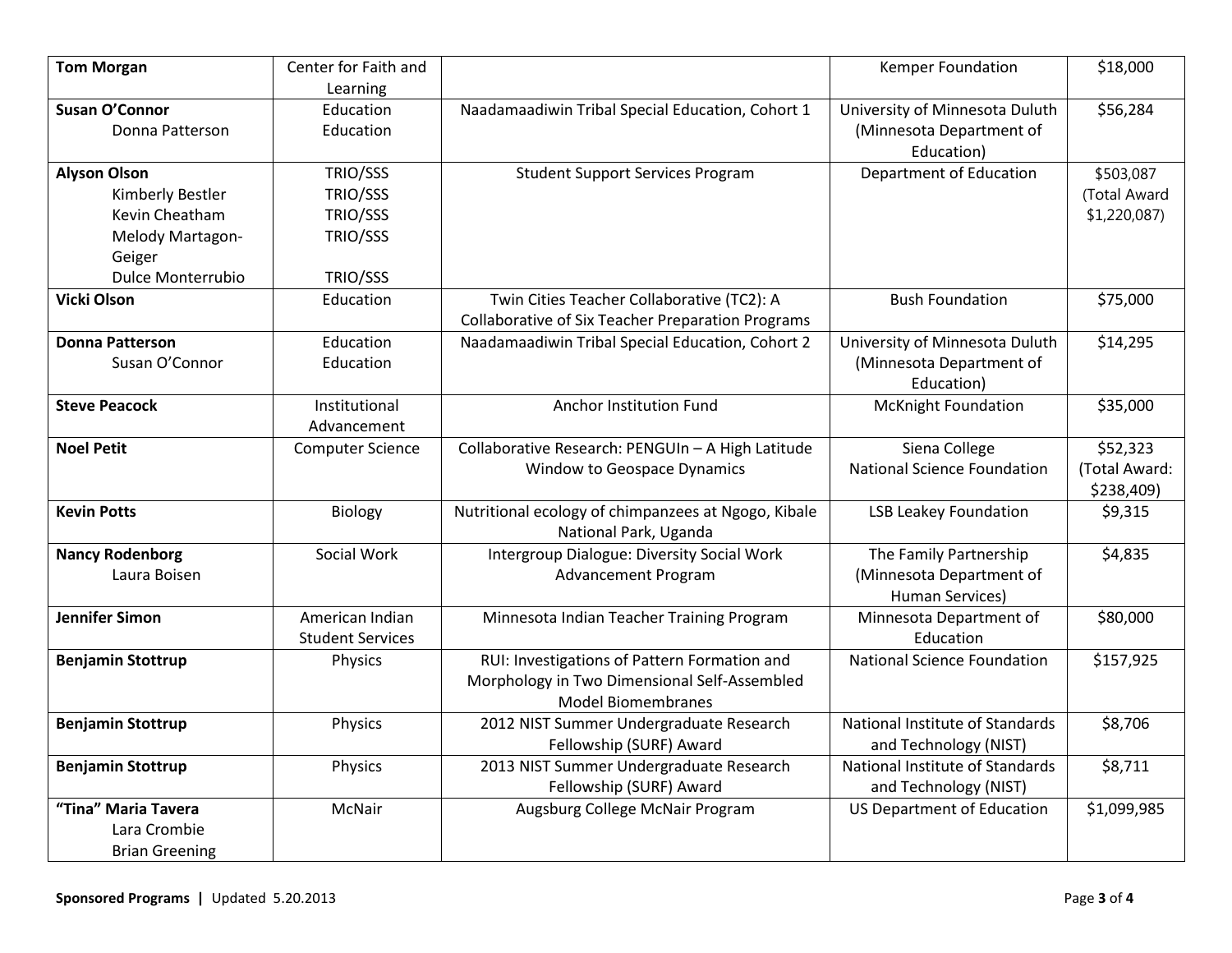| <b>Tom Morgan</b>        | Center for Faith and    |                                                          | Kemper Foundation                  | \$18,000      |
|--------------------------|-------------------------|----------------------------------------------------------|------------------------------------|---------------|
|                          | Learning                |                                                          |                                    |               |
| <b>Susan O'Connor</b>    | Education               | Naadamaadiwin Tribal Special Education, Cohort 1         | University of Minnesota Duluth     | \$56,284      |
| Donna Patterson          | Education               |                                                          | (Minnesota Department of           |               |
|                          |                         |                                                          | Education)                         |               |
| <b>Alyson Olson</b>      | TRIO/SSS                | <b>Student Support Services Program</b>                  | Department of Education            | \$503,087     |
| Kimberly Bestler         | TRIO/SSS                |                                                          |                                    | (Total Award  |
| Kevin Cheatham           | TRIO/SSS                |                                                          |                                    | \$1,220,087   |
| Melody Martagon-         | TRIO/SSS                |                                                          |                                    |               |
| Geiger                   |                         |                                                          |                                    |               |
| Dulce Monterrubio        | TRIO/SSS                |                                                          |                                    |               |
| Vicki Olson              | Education               | Twin Cities Teacher Collaborative (TC2): A               | <b>Bush Foundation</b>             | \$75,000      |
|                          |                         | <b>Collaborative of Six Teacher Preparation Programs</b> |                                    |               |
| <b>Donna Patterson</b>   | Education               | Naadamaadiwin Tribal Special Education, Cohort 2         | University of Minnesota Duluth     | \$14,295      |
| Susan O'Connor           | Education               |                                                          | (Minnesota Department of           |               |
|                          |                         |                                                          | Education)                         |               |
| <b>Steve Peacock</b>     | Institutional           | Anchor Institution Fund                                  | <b>McKnight Foundation</b>         | \$35,000      |
|                          | Advancement             |                                                          |                                    |               |
| <b>Noel Petit</b>        | <b>Computer Science</b> | Collaborative Research: PENGUIn - A High Latitude        | Siena College                      | \$52,323      |
|                          |                         | Window to Geospace Dynamics                              | <b>National Science Foundation</b> | (Total Award: |
|                          |                         |                                                          |                                    | \$238,409)    |
| <b>Kevin Potts</b>       | Biology                 | Nutritional ecology of chimpanzees at Ngogo, Kibale      | <b>LSB Leakey Foundation</b>       | \$9,315       |
|                          |                         | National Park, Uganda                                    |                                    |               |
| <b>Nancy Rodenborg</b>   | Social Work             | <b>Intergroup Dialogue: Diversity Social Work</b>        | The Family Partnership             | \$4,835       |
| Laura Boisen             |                         | <b>Advancement Program</b>                               | (Minnesota Department of           |               |
|                          |                         |                                                          | <b>Human Services)</b>             |               |
| <b>Jennifer Simon</b>    | American Indian         | Minnesota Indian Teacher Training Program                | Minnesota Department of            | \$80,000      |
|                          | <b>Student Services</b> |                                                          | Education                          |               |
| <b>Benjamin Stottrup</b> | Physics                 | RUI: Investigations of Pattern Formation and             | <b>National Science Foundation</b> | \$157,925     |
|                          |                         | Morphology in Two Dimensional Self-Assembled             |                                    |               |
|                          |                         | <b>Model Biomembranes</b>                                |                                    |               |
| <b>Benjamin Stottrup</b> | Physics                 | 2012 NIST Summer Undergraduate Research                  | National Institute of Standards    | \$8,706       |
|                          |                         | Fellowship (SURF) Award                                  | and Technology (NIST)              |               |
| <b>Benjamin Stottrup</b> | Physics                 | 2013 NIST Summer Undergraduate Research                  | National Institute of Standards    | \$8,711       |
|                          |                         | Fellowship (SURF) Award                                  | and Technology (NIST)              |               |
| "Tina" Maria Tavera      | McNair                  | Augsburg College McNair Program                          | <b>US Department of Education</b>  | \$1,099,985   |
| Lara Crombie             |                         |                                                          |                                    |               |
| <b>Brian Greening</b>    |                         |                                                          |                                    |               |